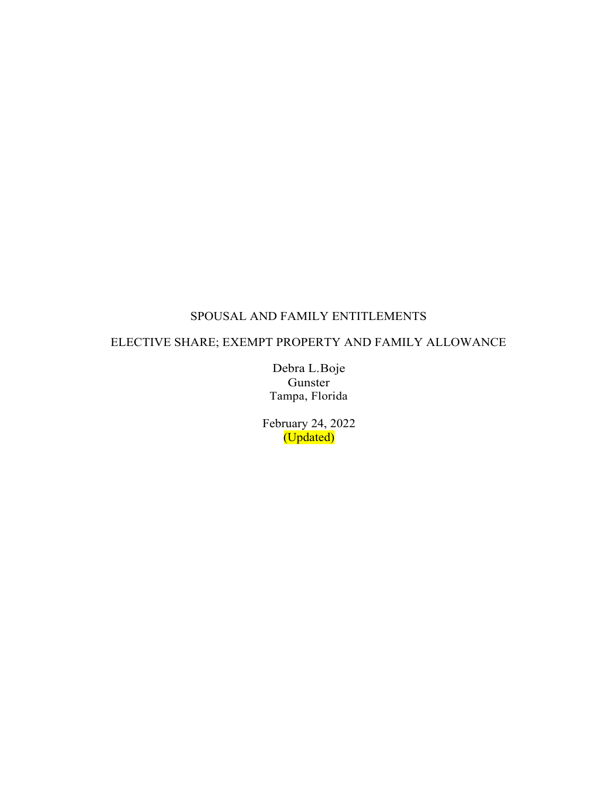# SPOUSAL AND FAMILY ENTITLEMENTS

## ELECTIVE SHARE; EXEMPT PROPERTY AND FAMILY ALLOWANCE

Debra L.Boje Gunster Tampa, Florida

February 24, 2022 (Updated)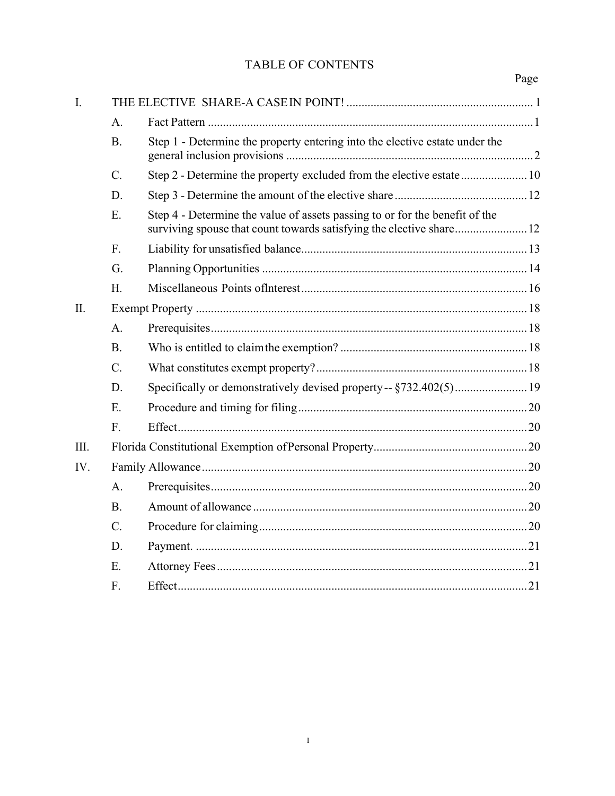# TABLE OF CONTENTS

| I.   |             |                                                                             |  |
|------|-------------|-----------------------------------------------------------------------------|--|
|      | A.          |                                                                             |  |
|      | <b>B.</b>   | Step 1 - Determine the property entering into the elective estate under the |  |
|      | C.          | Step 2 - Determine the property excluded from the elective estate 10        |  |
|      | D.          |                                                                             |  |
|      | E.          | Step 4 - Determine the value of assets passing to or for the benefit of the |  |
|      | F.          |                                                                             |  |
|      | G.          |                                                                             |  |
|      | H.          |                                                                             |  |
| II.  |             |                                                                             |  |
|      | A.          |                                                                             |  |
|      | <b>B.</b>   |                                                                             |  |
|      | $C_{\cdot}$ |                                                                             |  |
|      | D.          | Specifically or demonstratively devised property-- §732.402(5) 19           |  |
|      | E.          |                                                                             |  |
|      | F.          |                                                                             |  |
| III. |             |                                                                             |  |
| IV.  |             |                                                                             |  |
|      | $A$ .       |                                                                             |  |
|      | <b>B.</b>   |                                                                             |  |
|      | $C_{\cdot}$ |                                                                             |  |
|      | D.          |                                                                             |  |
|      | E.          |                                                                             |  |
|      | F.          |                                                                             |  |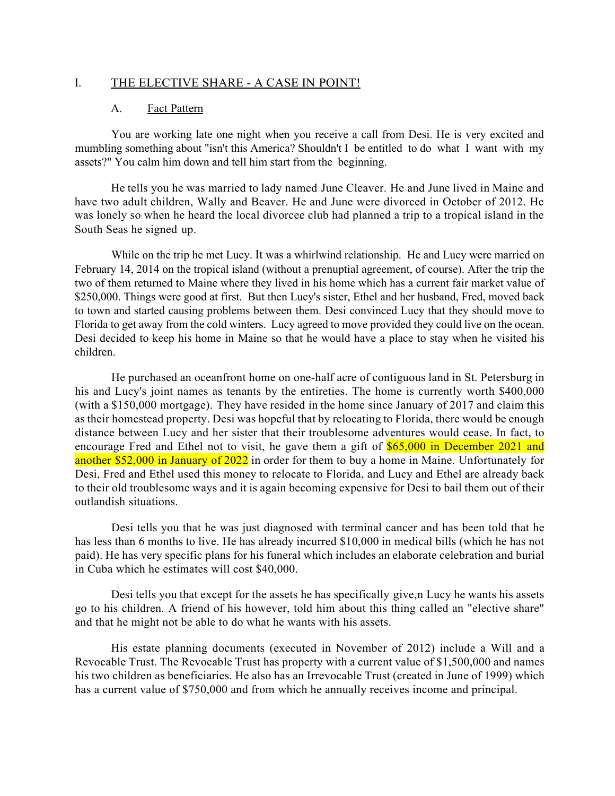#### I. THE ELECTIVE SHARE - A CASE IN POINT!

#### A. Fact Pattern

You are working late one night when you receive a call from Desi. He is very excited and mumbling something about "isn't this America? Shouldn't I be entitled to do what I want with my assets?" You calm him down and tell him start from the beginning.

He tells you he was married to lady named June Cleaver. He and June lived in Maine and have two adult children, Wally and Beaver. He and June were divorced in October of 2012. He was lonely so when he heard the local divorcee club had planned a trip to a tropical island in the South Seas he signed up.

While on the trip he met Lucy. It was a whirlwind relationship. He and Lucy were married on February 14, 2014 on the tropical island (without a prenuptial agreement, of course). After the trip the two of them returned to Maine where they lived in his home which has a current fair market value of \$250,000. Things were good at first. But then Lucy's sister, Ethel and her husband, Fred, moved back to town and started causing problems between them. Desi convinced Lucy that they should move to Florida to get away from the cold winters. Lucy agreed to move provided they could live on the ocean. Desi decided to keep his home in Maine so that he would have a place to stay when he visited his children.

He purchased an oceanfront home on one-half acre of contiguous land in St. Petersburg in his and Lucy's joint names as tenants by the entireties. The home is currently worth \$400,000 (with a \$150,000 mortgage). They have resided in the home since January of 2017 and claim this as their homestead property. Desi was hopeful that by relocating to Florida, there would be enough distance between Lucy and her sister that their troublesome adventures would cease. In fact, to encourage Fred and Ethel not to visit, he gave them a gift of \$65,000 in December 2021 and another \$52,000 in January of 2022 in order for them to buy a home in Maine. Unfortunately for Desi, Fred and Ethel used this money to relocate to Florida, and Lucy and Ethel are already back to their old troublesome ways and it is again becoming expensive for Desi to bail them out of their outlandish situations.

Desi tells you that he was just diagnosed with terminal cancer and has been told that he has less than 6 months to live. He has already incurred \$10,000 in medical bills (which he has not paid). He has very specific plans for his funeral which includes an elaborate celebration and burial in Cuba which he estimates will cost \$40,000.

Desi tells you that except for the assets he has specifically give,n Lucy he wants his assets go to his children. A friend of his however, told him about this thing called an "elective share" and that he might not be able to do what he wants with his assets.

His estate planning documents (executed in November of 2012) include a Will and a Revocable Trust. The Revocable Trust has property with a current value of \$1,500,000 and names his two children as beneficiaries. He also has an Irrevocable Trust (created in June of 1999) which has a current value of \$750,000 and from which he annually receives income and principal.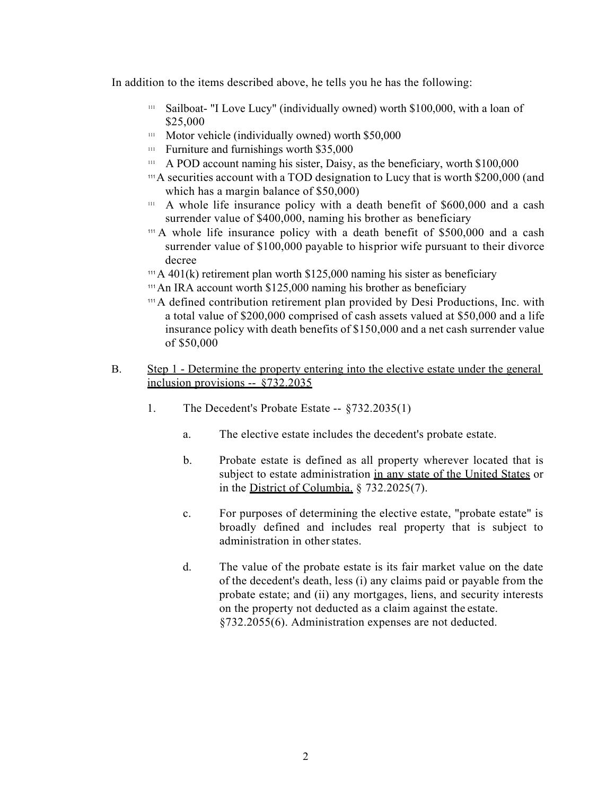In addition to the items described above, he tells you he has the following:

- $111$  Sailboat- "I Love Lucy" (individually owned) worth \$100,000, with a loan of \$25,000
- $111$  Motor vehicle (individually owned) worth \$50,000
- $111$  Furniture and furnishings worth \$35,000
- $111$  A POD account naming his sister, Daisy, as the beneficiary, worth \$100,000
- <sup>111</sup>A securities account with a TOD designation to Lucy that is worth \$200,000 (and which has a margin balance of \$50,000)
- $111$  A whole life insurance policy with a death benefit of \$600,000 and a cash surrender value of \$400,000, naming his brother as beneficiary
- $111$  A whole life insurance policy with a death benefit of \$500,000 and a cash surrender value of \$100,000 payable to hisprior wife pursuant to their divorce decree
- <sup>111</sup> A 401(k) retirement plan worth \$125,000 naming his sister as beneficiary
- $111$ An IRA account worth \$125,000 naming his brother as beneficiary
- <sup>111</sup>A defined contribution retirement plan provided by Desi Productions, Inc. with a total value of \$200,000 comprised of cash assets valued at \$50,000 and a life insurance policy with death benefits of \$150,000 and a net cash surrender value of \$50,000

### B. Step 1 - Determine the property entering into the elective estate under the general inclusion provisions -- §732.2035

- 1. The Decedent's Probate Estate -- §732.2035(1)
	- a. The elective estate includes the decedent's probate estate.
	- b. Probate estate is defined as all property wherever located that is subject to estate administration in any state of the United States or in the District of Columbia. § 732.2025(7).
	- c. For purposes of determining the elective estate, "probate estate" is broadly defined and includes real property that is subject to administration in other states.
	- d. The value of the probate estate is its fair market value on the date of the decedent's death, less (i) any claims paid or payable from the probate estate; and (ii) any mortgages, liens, and security interests on the property not deducted as a claim against the estate. §732.2055(6). Administration expenses are not deducted.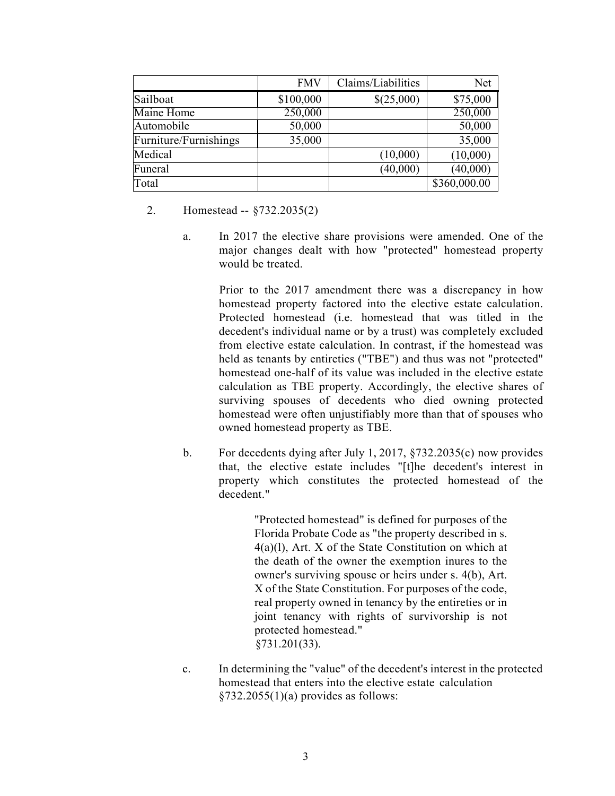|                       | <b>FMV</b> | Claims/Liabilities | Net          |
|-----------------------|------------|--------------------|--------------|
| Sailboat              | \$100,000  | \$(25,000)         | \$75,000     |
| Maine Home            | 250,000    |                    | 250,000      |
| Automobile            | 50,000     |                    | 50,000       |
| Furniture/Furnishings | 35,000     |                    | 35,000       |
| Medical               |            | (10,000)           | (10,000)     |
| Funeral               |            | (40,000)           | (40,000)     |
| Total                 |            |                    | \$360,000.00 |

- 2. Homestead -- §732.2035(2)
	- a. In 2017 the elective share provisions were amended. One of the major changes dealt with how "protected" homestead property would be treated.

Prior to the 2017 amendment there was a discrepancy in how homestead property factored into the elective estate calculation. Protected homestead (i.e. homestead that was titled in the decedent's individual name or by a trust) was completely excluded from elective estate calculation. In contrast, if the homestead was held as tenants by entireties ("TBE") and thus was not "protected" homestead one-half of its value was included in the elective estate calculation as TBE property. Accordingly, the elective shares of surviving spouses of decedents who died owning protected homestead were often unjustifiably more than that of spouses who owned homestead property as TBE.

b. For decedents dying after July 1, 2017, §732.2035(c) now provides that, the elective estate includes "[t]he decedent's interest in property which constitutes the protected homestead of the decedent."

> "Protected homestead" is defined for purposes of the Florida Probate Code as "the property described in s. 4(a)(l), Art. X of the State Constitution on which at the death of the owner the exemption inures to the owner's surviving spouse or heirs under s. 4(b), Art. X of the State Constitution. For purposes of the code, real property owned in tenancy by the entireties or in joint tenancy with rights of survivorship is not protected homestead." §731.201(33).

c. In determining the "value" of the decedent's interest in the protected homestead that enters into the elective estate calculation  $§732.2055(1)(a)$  provides as follows: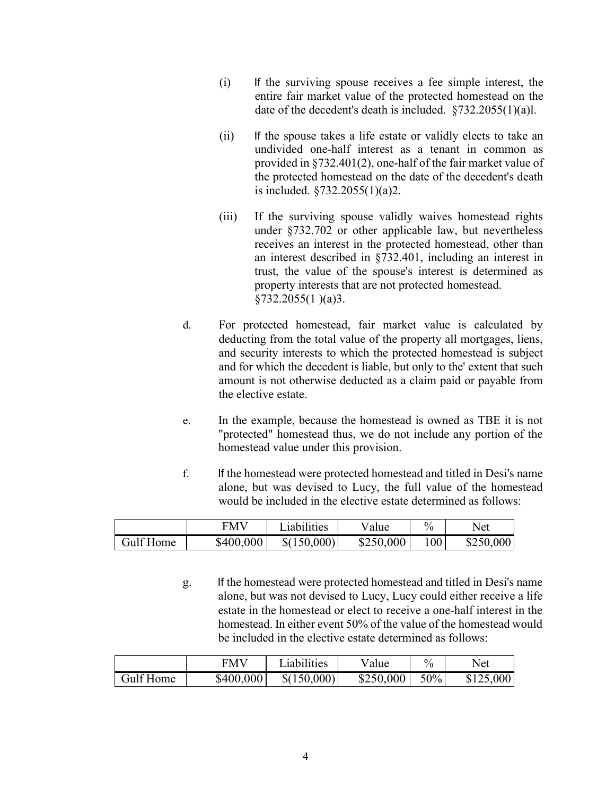- (i) If the surviving spouse receives a fee simple interest, the entire fair market value of the protected homestead on the date of the decedent's death is included. §732.2055(1)(a)l.
- (ii) If the spouse takes a life estate or validly elects to take an undivided one-half interest as a tenant in common as provided in §732.401(2), one-half of the fair market value of the protected homestead on the date of the decedent's death is included. §732.2055(1)(a)2.
- (iii) If the surviving spouse validly waives homestead rights under §732.702 or other applicable law, but nevertheless receives an interest in the protected homestead, other than an interest described in §732.401, including an interest in trust, the value of the spouse's interest is determined as property interests that are not protected homestead. §732.2055(1 )(a)3.
- d. For protected homestead, fair market value is calculated by deducting from the total value of the property all mortgages, liens, and security interests to which the protected homestead is subject and for which the decedent is liable, but only to the' extent that such amount is not otherwise deducted as a claim paid or payable from the elective estate.
- e. In the example, because the homestead is owned as TBE it is not "protected" homestead thus, we do not include any portion of the homestead value under this provision.
- f. If the homestead were protected homestead and titled in Desi's name alone, but was devised to Lucy, the full value of the homestead would be included in the elective estate determined as follows:

|                  | <b>FMV</b> | iabilities  | value     | $\%$ | Net       |
|------------------|------------|-------------|-----------|------|-----------|
| <b>Gulf Home</b> | \$400,000  | \$(150,000) | \$250,000 | 100  | \$250,000 |

g. If the homestead were protected homestead and titled in Desi's name alone, but was not devised to Lucy, Lucy could either receive a life estate in the homestead or elect to receive a one-half interest in the homestead. In either event 50% of the value of the homestead would be included in the elective estate determined as follows:

|           | <b>FMV</b> | Liabilities | Value     | $\frac{0}{0}$ | Net       |
|-----------|------------|-------------|-----------|---------------|-----------|
| Gulf Home | \$400,000  | \$(150,000) | \$250,000 | 50%           | \$125,000 |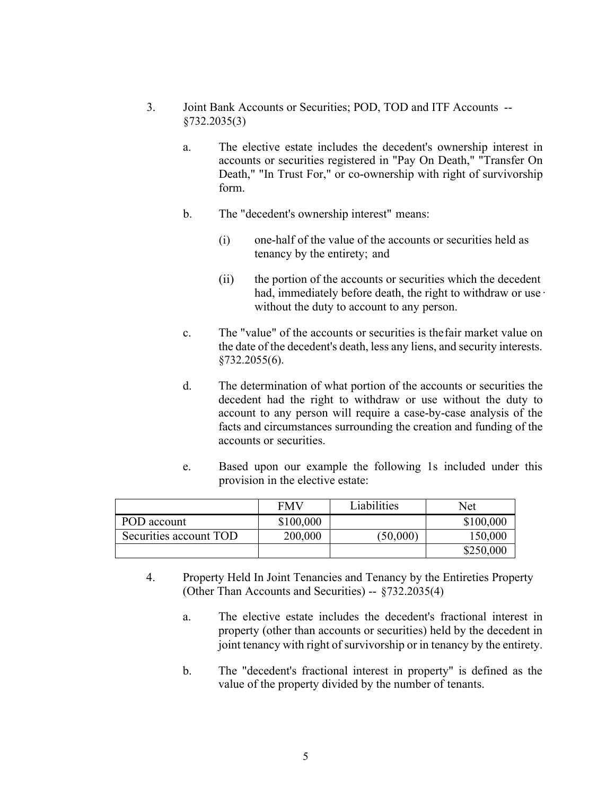- 3. Joint Bank Accounts or Securities; POD, TOD and ITF Accounts -- §732.2035(3)
	- a. The elective estate includes the decedent's ownership interest in accounts or securities registered in "Pay On Death," "Transfer On Death," "In Trust For," or co-ownership with right of survivorship form.
	- b. The "decedent's ownership interest" means:
		- (i) one-half of the value of the accounts or securities held as tenancy by the entirety; and
		- (ii) the portion of the accounts or securities which the decedent had, immediately before death, the right to withdraw or use · without the duty to account to any person.
	- c. The "value" of the accounts or securities is thefair market value on the date of the decedent's death, less any liens, and security interests. §732.2055(6).
	- d. The determination of what portion of the accounts or securities the decedent had the right to withdraw or use without the duty to account to any person will require a case-by-case analysis of the facts and circumstances surrounding the creation and funding of the accounts or securities.
	- e. Based upon our example the following 1s included under this provision in the elective estate:

|                        | <b>FMV</b> | Liabilities | Net       |
|------------------------|------------|-------------|-----------|
| POD account            | \$100,000  |             | \$100,000 |
| Securities account TOD | 200,000    | (50,000)    | 150,000   |
|                        |            |             | \$250,000 |

- 4. Property Held In Joint Tenancies and Tenancy by the Entireties Property (Other Than Accounts and Securities) -- §732.2035(4)
	- a. The elective estate includes the decedent's fractional interest in property (other than accounts or securities) held by the decedent in joint tenancy with right of survivorship or in tenancy by the entirety.
	- b. The "decedent's fractional interest in property" is defined as the value of the property divided by the number of tenants.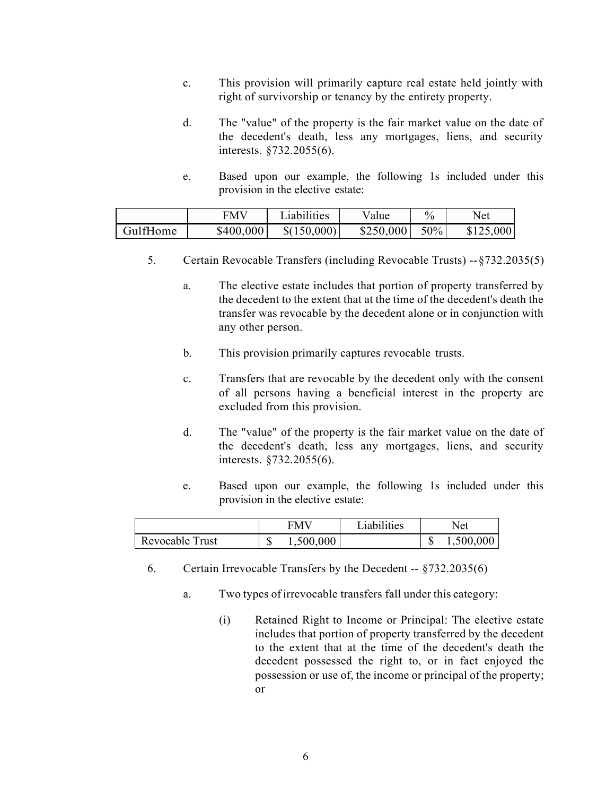- c. This provision will primarily capture real estate held jointly with right of survivorship or tenancy by the entirety property.
- d. The "value" of the property is the fair market value on the date of the decedent's death, less any mortgages, liens, and security interests. §732.2055(6).
- e. Based upon our example, the following 1s included under this provision in the elective estate:

|          | <b>FMV</b> | Liabilities | Value     | $\%$ | Net       |
|----------|------------|-------------|-----------|------|-----------|
| GulfHome | \$400,000  | \$(150,000) | \$250,000 | 50%  | \$125,000 |

- 5. Certain Revocable Transfers (including Revocable Trusts) --§732.2035(5)
	- a. The elective estate includes that portion of property transferred by the decedent to the extent that at the time of the decedent's death the transfer was revocable by the decedent alone or in conjunction with any other person.
	- b. This provision primarily captures revocable trusts.
	- c. Transfers that are revocable by the decedent only with the consent of all persons having a beneficial interest in the property are excluded from this provision.
	- d. The "value" of the property is the fair market value on the date of the decedent's death, less any mortgages, liens, and security interests. §732.2055(6).
	- e. Based upon our example, the following 1s included under this provision in the elective estate:

|                 | FMV |           | Liabilities | Net |           |
|-----------------|-----|-----------|-------------|-----|-----------|
| Revocable Trust |     | 1,500,000 |             |     | 1,500,000 |

- 6. Certain Irrevocable Transfers by the Decedent -- §732.2035(6)
	- a. Two types of irrevocable transfers fall under this category:
		- (i) Retained Right to Income or Principal: The elective estate includes that portion of property transferred by the decedent to the extent that at the time of the decedent's death the decedent possessed the right to, or in fact enjoyed the possession or use of, the income or principal of the property; or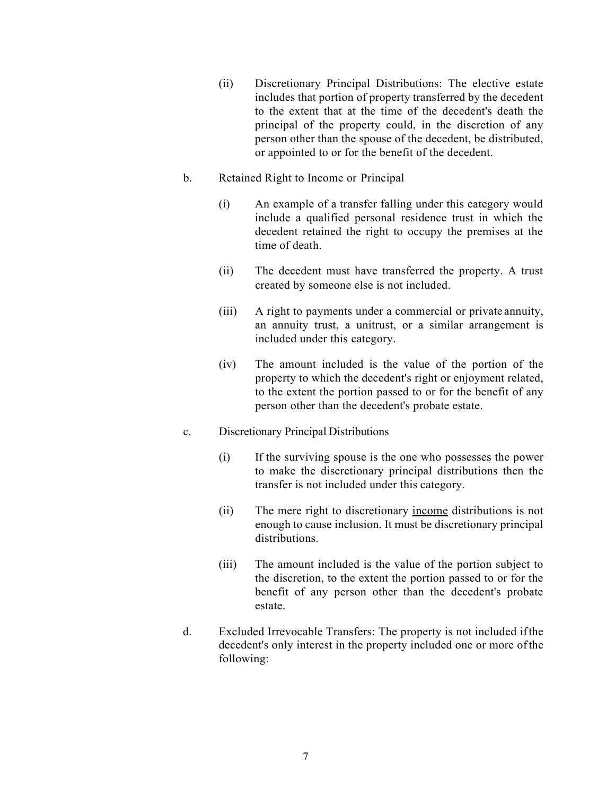- (ii) Discretionary Principal Distributions: The elective estate includes that portion of property transferred by the decedent to the extent that at the time of the decedent's death the principal of the property could, in the discretion of any person other than the spouse of the decedent, be distributed, or appointed to or for the benefit of the decedent.
- b. Retained Right to Income or Principal
	- (i) An example of a transfer falling under this category would include a qualified personal residence trust in which the decedent retained the right to occupy the premises at the time of death.
	- (ii) The decedent must have transferred the property. A trust created by someone else is not included.
	- (iii) A right to payments under a commercial or private annuity, an annuity trust, a unitrust, or a similar arrangement is included under this category.
	- (iv) The amount included is the value of the portion of the property to which the decedent's right or enjoyment related, to the extent the portion passed to or for the benefit of any person other than the decedent's probate estate.
- c. Discretionary Principal Distributions
	- (i) If the surviving spouse is the one who possesses the power to make the discretionary principal distributions then the transfer is not included under this category.
	- (ii) The mere right to discretionary income distributions is not enough to cause inclusion. It must be discretionary principal distributions.
	- (iii) The amount included is the value of the portion subject to the discretion, to the extent the portion passed to or for the benefit of any person other than the decedent's probate estate.
- d. Excluded Irrevocable Transfers: The property is not included ifthe decedent's only interest in the property included one or more ofthe following: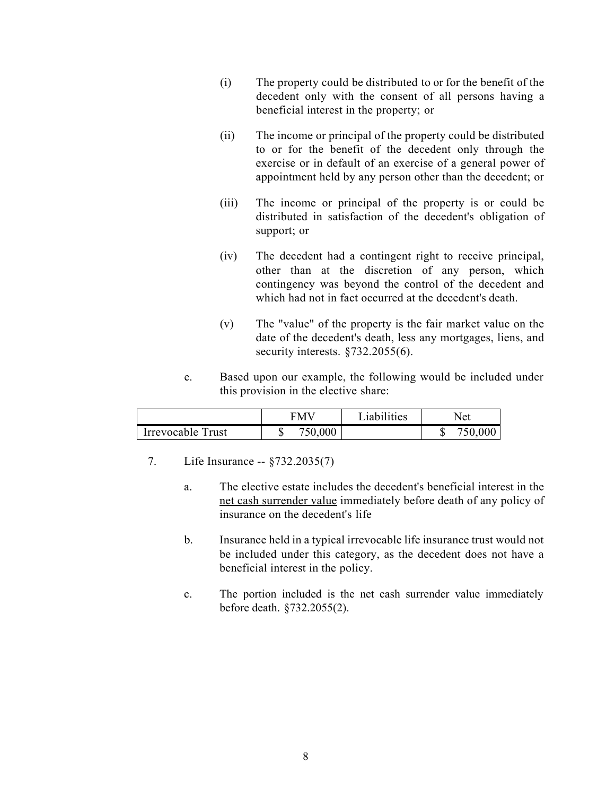- (i) The property could be distributed to or for the benefit of the decedent only with the consent of all persons having a beneficial interest in the property; or
- (ii) The income or principal of the property could be distributed to or for the benefit of the decedent only through the exercise or in default of an exercise of a general power of appointment held by any person other than the decedent; or
- (iii) The income or principal of the property is or could be distributed in satisfaction of the decedent's obligation of support; or
- (iv) The decedent had a contingent right to receive principal, other than at the discretion of any person, which contingency was beyond the control of the decedent and which had not in fact occurred at the decedent's death.
- (v) The "value" of the property is the fair market value on the date of the decedent's death, less any mortgages, liens, and security interests. §732.2055(6).
- e. Based upon our example, the following would be included under this provision in the elective share:

|                   | <b>FMV</b> | Liabilities | Net                      |
|-------------------|------------|-------------|--------------------------|
| Irrevocable Trust | 750,000    |             | 750,00 <sub>0</sub><br>ш |

- 7. Life Insurance -- §732.2035(7)
	- a. The elective estate includes the decedent's beneficial interest in the net cash surrender value immediately before death of any policy of insurance on the decedent's life
	- b. Insurance held in a typical irrevocable life insurance trust would not be included under this category, as the decedent does not have a beneficial interest in the policy.
	- c. The portion included is the net cash surrender value immediately before death. §732.2055(2).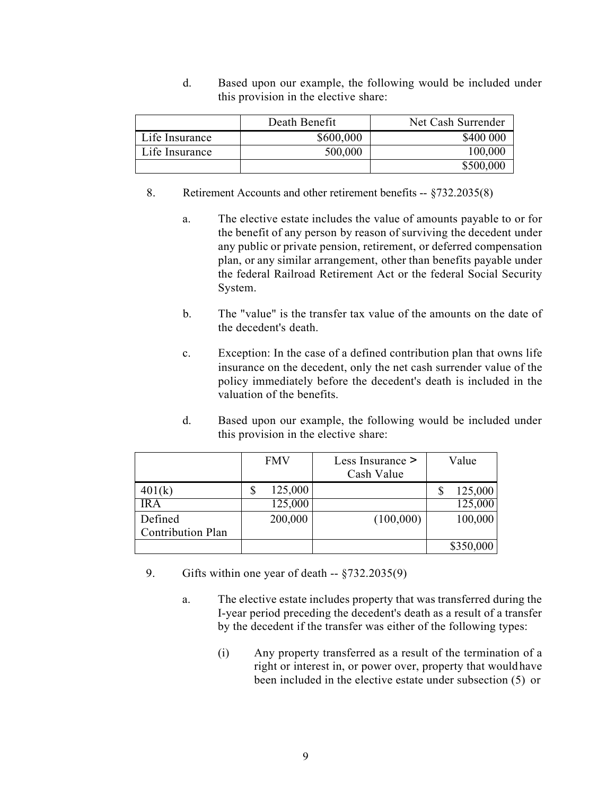d. Based upon our example, the following would be included under this provision in the elective share:

|                | Death Benefit | Net Cash Surrender |
|----------------|---------------|--------------------|
| Life Insurance | \$600,000     | \$400 000          |
| Life Insurance | 500,000       | 100,000            |
|                |               | \$500,000          |

- 8. Retirement Accounts and other retirement benefits -- §732.2035(8)
	- a. The elective estate includes the value of amounts payable to or for the benefit of any person by reason of surviving the decedent under any public or private pension, retirement, or deferred compensation plan, or any similar arrangement, other than benefits payable under the federal Railroad Retirement Act or the federal Social Security System.
	- b. The "value" is the transfer tax value of the amounts on the date of the decedent's death.
	- c. Exception: In the case of a defined contribution plan that owns life insurance on the decedent, only the net cash surrender value of the policy immediately before the decedent's death is included in the valuation of the benefits.
	- d. Based upon our example, the following would be included under this provision in the elective share:

|                          | <b>FMV</b>    | Less Insurance ><br>Cash Value | Value     |
|--------------------------|---------------|--------------------------------|-----------|
| 401(k)                   | \$<br>125,000 |                                | 125,000   |
| IR A                     | 125,000       |                                | 125,000   |
| Defined                  | 200,000       | (100,000)                      | 100,000   |
| <b>Contribution Plan</b> |               |                                |           |
|                          |               |                                | \$350,000 |

- 9. Gifts within one year of death -- §732.2035(9)
	- a. The elective estate includes property that was transferred during the I-year period preceding the decedent's death as a result of a transfer by the decedent if the transfer was either of the following types:
		- (i) Any property transferred as a result of the termination of a right or interest in, or power over, property that wouldhave been included in the elective estate under subsection (5) or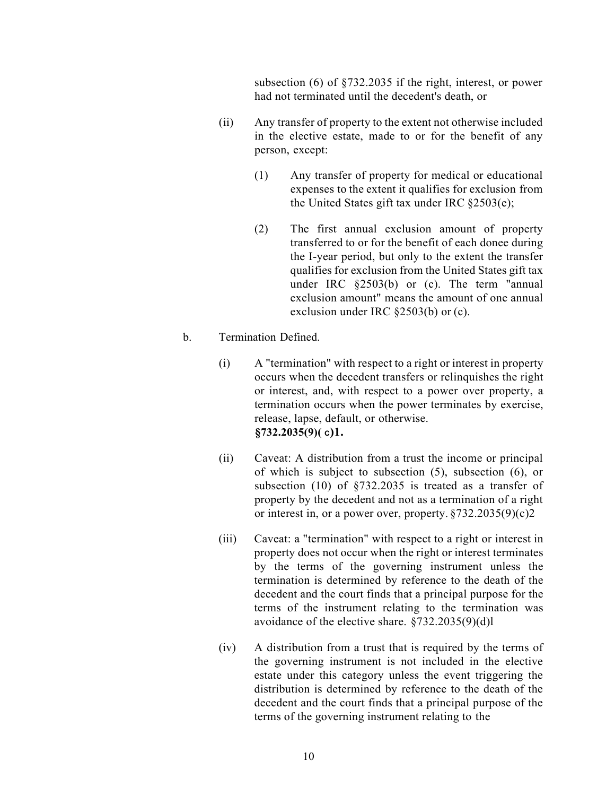subsection (6) of §732.2035 if the right, interest, or power had not terminated until the decedent's death, or

- (ii) Any transfer of property to the extent not otherwise included in the elective estate, made to or for the benefit of any person, except:
	- (1) Any transfer of property for medical or educational expenses to the extent it qualifies for exclusion from the United States gift tax under IRC §2503(e);
	- (2) The first annual exclusion amount of property transferred to or for the benefit of each donee during the I-year period, but only to the extent the transfer qualifies for exclusion from the United States gift tax under IRC §2503(b) or (c). The term "annual exclusion amount" means the amount of one annual exclusion under IRC §2503(b) or (c).
- b. Termination Defined.
	- (i) A "termination" with respect to a right or interest in property occurs when the decedent transfers or relinquishes the right or interest, and, with respect to a power over property, a termination occurs when the power terminates by exercise, release, lapse, default, or otherwise. **§732.2035(9)( C)1.**
	- (ii) Caveat: A distribution from a trust the income or principal of which is subject to subsection (5), subsection (6), or subsection (10) of §732.2035 is treated as a transfer of property by the decedent and not as a termination of a right or interest in, or a power over, property. §732.2035(9)(c)2
	- (iii) Caveat: a "termination" with respect to a right or interest in property does not occur when the right or interest terminates by the terms of the governing instrument unless the termination is determined by reference to the death of the decedent and the court finds that a principal purpose for the terms of the instrument relating to the termination was avoidance of the elective share. §732.2035(9)(d)l
	- (iv) A distribution from a trust that is required by the terms of the governing instrument is not included in the elective estate under this category unless the event triggering the distribution is determined by reference to the death of the decedent and the court finds that a principal purpose of the terms of the governing instrument relating to the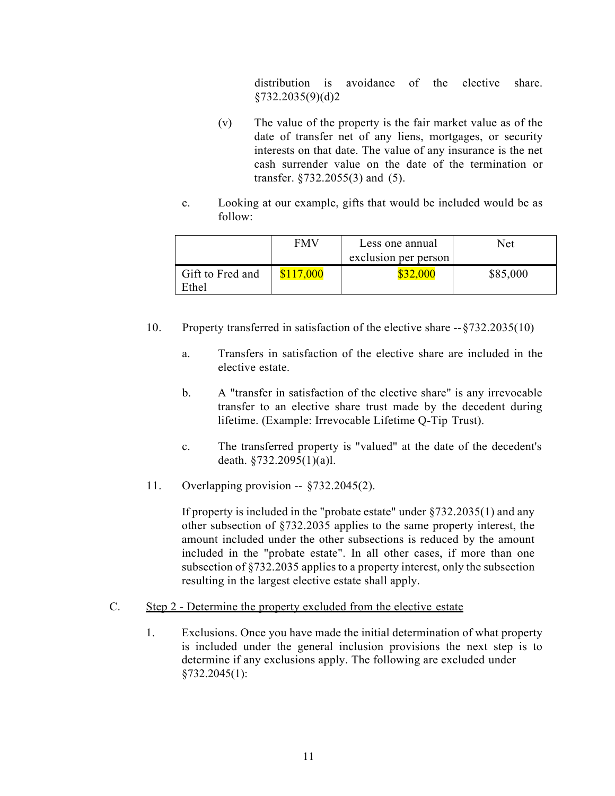distribution is avoidance of the elective share. §732.2035(9)(d)2

- (v) The value of the property is the fair market value as of the date of transfer net of any liens, mortgages, or security interests on that date. The value of any insurance is the net cash surrender value on the date of the termination or transfer. §732.2055(3) and (5).
- c. Looking at our example, gifts that would be included would be as follow:

|                           | <b>FMV</b> | Less one annual<br>exclusion per person | Net      |
|---------------------------|------------|-----------------------------------------|----------|
| Gift to Fred and<br>Ethel | \$117,000  | \$32,000                                | \$85,000 |

- 10. Property transferred in satisfaction of the elective share --§732.2035(10)
	- a. Transfers in satisfaction of the elective share are included in the elective estate.
	- b. A "transfer in satisfaction of the elective share" is any irrevocable transfer to an elective share trust made by the decedent during lifetime. (Example: Irrevocable Lifetime Q-Tip Trust).
	- c. The transferred property is "valued" at the date of the decedent's death. §732.2095(1)(a)l.
- 11. Overlapping provision -- §732.2045(2).

If property is included in the "probate estate" under §732.2035(1) and any other subsection of §732.2035 applies to the same property interest, the amount included under the other subsections is reduced by the amount included in the "probate estate". In all other cases, if more than one subsection of §732.2035 applies to a property interest, only the subsection resulting in the largest elective estate shall apply.

#### C. Step 2 - Determine the property excluded from the elective estate

1. Exclusions. Once you have made the initial determination of what property is included under the general inclusion provisions the next step is to determine if any exclusions apply. The following are excluded under §732.2045(1):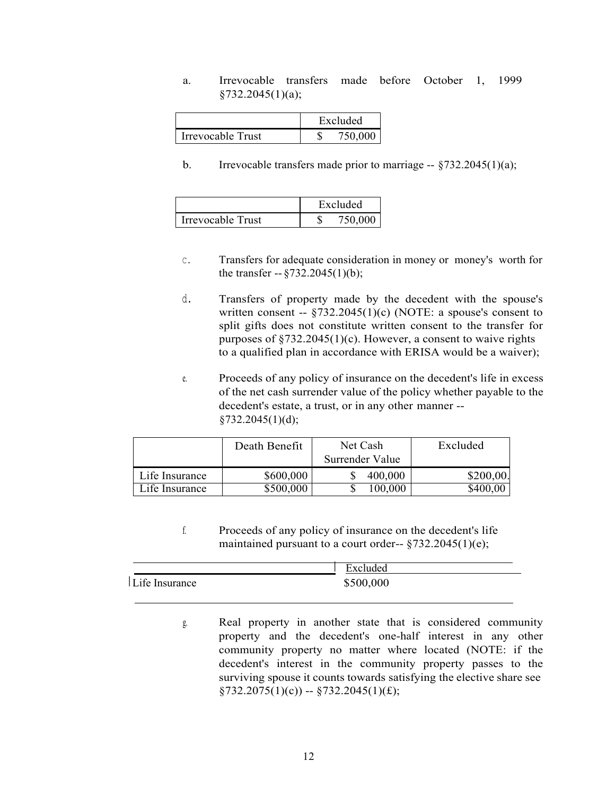a. Irrevocable transfers made before October 1, 1999 §732.2045(1)(a);

|                   | Excluded |         |  |
|-------------------|----------|---------|--|
| Irrevocable Trust |          | 750,000 |  |

b. Irrevocable transfers made prior to marriage  $-$  §732.2045(1)(a);

|                   | Excluded |
|-------------------|----------|
| Irrevocable Trust | 750,000  |

- C. Transfers for adequate consideration in money or money's worth for the transfer  $-$  §732.2045(1)(b);
- d. Transfers of property made by the decedent with the spouse's written consent --  $\S$ 732.2045(1)(c) (NOTE: a spouse's consent to split gifts does not constitute written consent to the transfer for purposes of  $\S 732.2045(1)(c)$ . However, a consent to waive rights to a qualified plan in accordance with ERISA would be a waiver);
- e. Proceeds of any policy of insurance on the decedent's life in excess of the net cash surrender value of the policy whether payable to the decedent's estate, a trust, or in any other manner -- §732.2045(1)(d);

|                | Death Benefit | Net Cash<br>Surrender Value | Excluded  |
|----------------|---------------|-----------------------------|-----------|
| Life Insurance | \$600,000     | 400,000                     | \$200,00. |
| Life Insurance | \$500,000     | 100,000                     | \$400,00  |

f. Proceeds of any policy of insurance on the decedent's life maintained pursuant to a court order-- $$732.2045(1)(e);$ 

|                | Excluded  |  |
|----------------|-----------|--|
| Life Insurance | \$500,000 |  |

g. Real property in another state that is considered community property and the decedent's one-half interest in any other community property no matter where located (NOTE: if the decedent's interest in the community property passes to the surviving spouse it counts towards satisfying the elective share see  $\S 732.2075(1)(c)$  --  $\S 732.2045(1)(f);$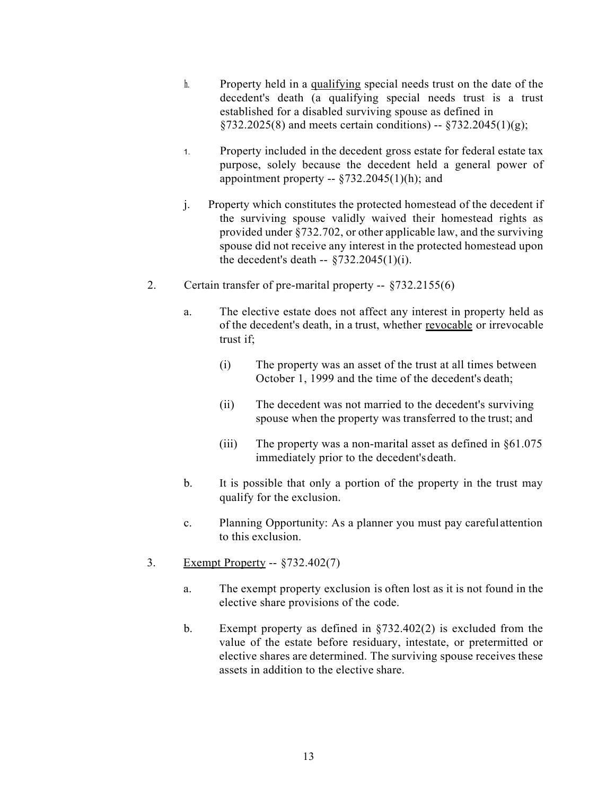- h. Property held in a qualifying special needs trust on the date of the decedent's death (a qualifying special needs trust is a trust established for a disabled surviving spouse as defined in  $\S 732.2025(8)$  and meets certain conditions) --  $\S 732.2045(1)(g)$ ;
- 1. Property included in the decedent gross estate for federal estate tax purpose, solely because the decedent held a general power of appointment property --  $\S 732.2045(1)$ (h); and
- j. Property which constitutes the protected homestead of the decedent if the surviving spouse validly waived their homestead rights as provided under §732.702, or other applicable law, and the surviving spouse did not receive any interest in the protected homestead upon the decedent's death  $-$  §732.2045(1)(i).
- 2. Certain transfer of pre-marital property -- §732.2155(6)
	- a. The elective estate does not affect any interest in property held as of the decedent's death, in a trust, whether revocable or irrevocable trust if;
		- (i) The property was an asset of the trust at all times between October 1, 1999 and the time of the decedent's death;
		- (ii) The decedent was not married to the decedent's surviving spouse when the property was transferred to the trust; and
		- (iii) The property was a non-marital asset as defined in  $§61.075$ immediately prior to the decedent'sdeath.
	- b. It is possible that only a portion of the property in the trust may qualify for the exclusion.
	- c. Planning Opportunity: As a planner you must pay careful attention to this exclusion.
- 3. Exempt Property -- §732.402(7)
	- a. The exempt property exclusion is often lost as it is not found in the elective share provisions of the code.
	- b. Exempt property as defined in §732.402(2) is excluded from the value of the estate before residuary, intestate, or pretermitted or elective shares are determined. The surviving spouse receives these assets in addition to the elective share.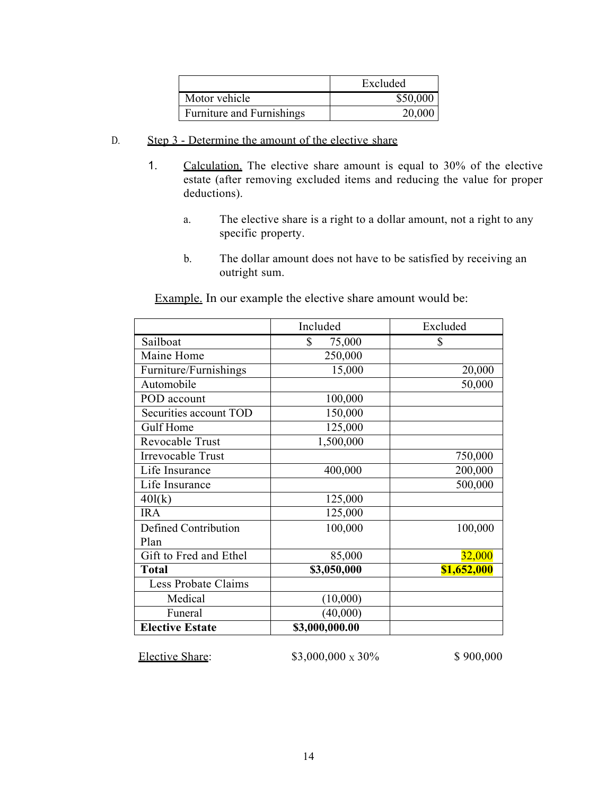|                           | Excluded |
|---------------------------|----------|
| Motor vehicle             | \$50,000 |
| Furniture and Furnishings | 20,000   |

- D. Step 3 Determine the amount of the elective share
	- 1. Calculation. The elective share amount is equal to 30% of the elective estate (after removing excluded items and reducing the value for proper deductions).
		- a. The elective share is a right to a dollar amount, not a right to any specific property.
		- b. The dollar amount does not have to be satisfied by receiving an outright sum.

Example. In our example the elective share amount would be:

|                        | Included       | Excluded    |
|------------------------|----------------|-------------|
| Sailboat               | \$<br>75,000   | S           |
| Maine Home             | 250,000        |             |
| Furniture/Furnishings  | 15,000         | 20,000      |
| Automobile             |                | 50,000      |
| POD account            | 100,000        |             |
| Securities account TOD | 150,000        |             |
| Gulf Home              | 125,000        |             |
| Revocable Trust        | 1,500,000      |             |
| Irrevocable Trust      |                | 750,000     |
| Life Insurance         | 400,000        | 200,000     |
| Life Insurance         |                | 500,000     |
| 40l(k)                 | 125,000        |             |
| <b>IRA</b>             | 125,000        |             |
| Defined Contribution   | 100,000        | 100,000     |
| Plan                   |                |             |
| Gift to Fred and Ethel | 85,000         | 32,000      |
| <b>Total</b>           | \$3,050,000    | \$1,652,000 |
| Less Probate Claims    |                |             |
| Medical                | (10,000)       |             |
| Funeral                | (40,000)       |             |
| <b>Elective Estate</b> | \$3,000,000.00 |             |

Elective Share:  $$3,000,000 \times 30\%$  \$ 900,000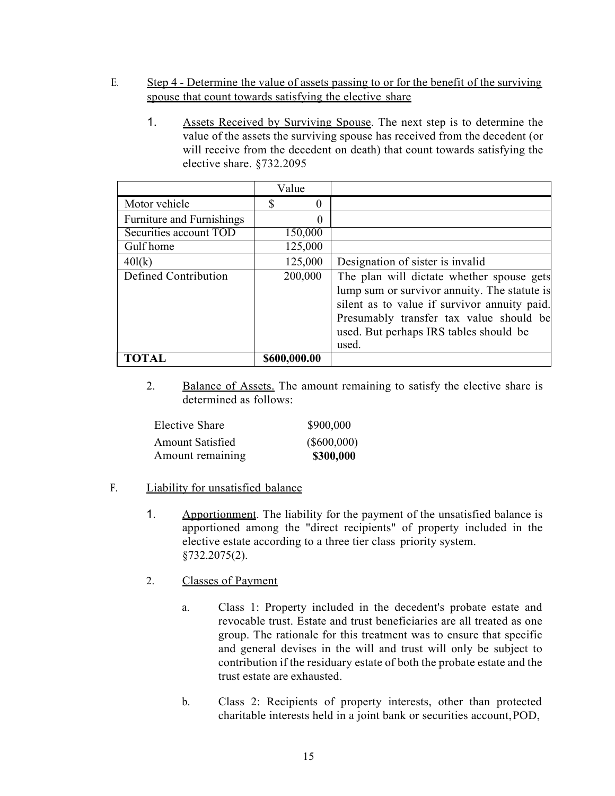- E. Step 4 Determine the value of assets passing to or for the benefit of the surviving spouse that count towards satisfying the elective share
	- 1. Assets Received by Surviving Spouse. The next step is to determine the value of the assets the surviving spouse has received from the decedent (or will receive from the decedent on death) that count towards satisfying the elective share. §732.2095

|                           | Value        |                                                                                                                                                                                                                                         |
|---------------------------|--------------|-----------------------------------------------------------------------------------------------------------------------------------------------------------------------------------------------------------------------------------------|
| Motor vehicle             | S<br>0       |                                                                                                                                                                                                                                         |
| Furniture and Furnishings | $\theta$     |                                                                                                                                                                                                                                         |
| Securities account TOD    | 150,000      |                                                                                                                                                                                                                                         |
| Gulf home                 | 125,000      |                                                                                                                                                                                                                                         |
| 40l(k)                    | 125,000      | Designation of sister is invalid                                                                                                                                                                                                        |
| Defined Contribution      | 200,000      | The plan will dictate whether spouse gets<br>lump sum or survivor annuity. The statute is<br>silent as to value if survivor annuity paid.<br>Presumably transfer tax value should be<br>used. But perhaps IRS tables should be<br>used. |
|                           | \$600,000.00 |                                                                                                                                                                                                                                         |

2. Balance of Assets. The amount remaining to satisfy the elective share is determined as follows:

| Elective Share          | \$900,000     |
|-------------------------|---------------|
| <b>Amount Satisfied</b> | $(\$600,000)$ |
| Amount remaining        | \$300,000     |

- F. Liability for unsatisfied balance
	- 1. Apportionment. The liability for the payment of the unsatisfied balance is apportioned among the "direct recipients" of property included in the elective estate according to a three tier class priority system. §732.2075(2).

#### 2. Classes of Payment

- a. Class 1: Property included in the decedent's probate estate and revocable trust. Estate and trust beneficiaries are all treated as one group. The rationale for this treatment was to ensure that specific and general devises in the will and trust will only be subject to contribution if the residuary estate of both the probate estate and the trust estate are exhausted.
- b. Class 2: Recipients of property interests, other than protected charitable interests held in a joint bank or securities account,POD,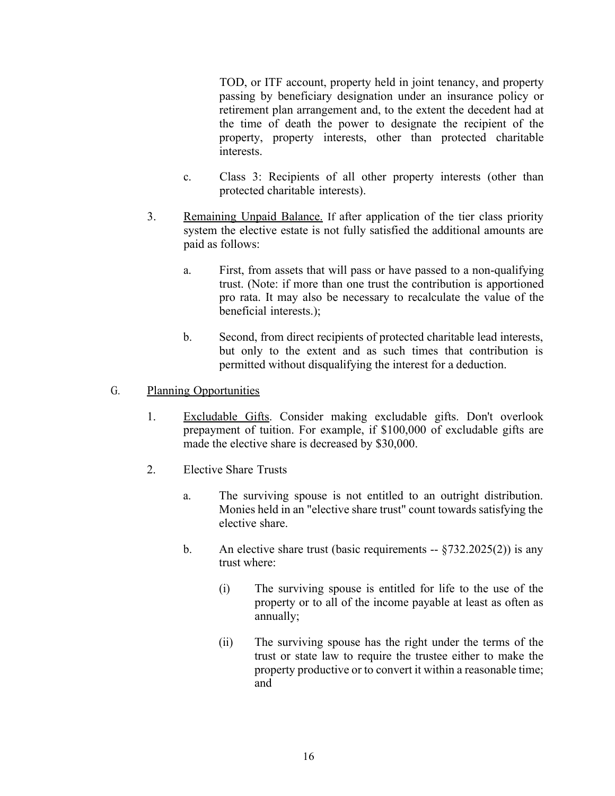TOD, or ITF account, property held in joint tenancy, and property passing by beneficiary designation under an insurance policy or retirement plan arrangement and, to the extent the decedent had at the time of death the power to designate the recipient of the property, property interests, other than protected charitable interests.

- c. Class 3: Recipients of all other property interests (other than protected charitable interests).
- 3. Remaining Unpaid Balance. If after application of the tier class priority system the elective estate is not fully satisfied the additional amounts are paid as follows:
	- a. First, from assets that will pass or have passed to a non-qualifying trust. (Note: if more than one trust the contribution is apportioned pro rata. It may also be necessary to recalculate the value of the beneficial interests.);
	- b. Second, from direct recipients of protected charitable lead interests, but only to the extent and as such times that contribution is permitted without disqualifying the interest for a deduction.

### G. Planning Opportunities

- 1. Excludable Gifts. Consider making excludable gifts. Don't overlook prepayment of tuition. For example, if \$100,000 of excludable gifts are made the elective share is decreased by \$30,000.
- 2. Elective Share Trusts
	- a. The surviving spouse is not entitled to an outright distribution. Monies held in an "elective share trust" count towards satisfying the elective share.
	- b. An elective share trust (basic requirements  $-$  §732.2025(2)) is any trust where:
		- (i) The surviving spouse is entitled for life to the use of the property or to all of the income payable at least as often as annually;
		- (ii) The surviving spouse has the right under the terms of the trust or state law to require the trustee either to make the property productive or to convert it within a reasonable time; and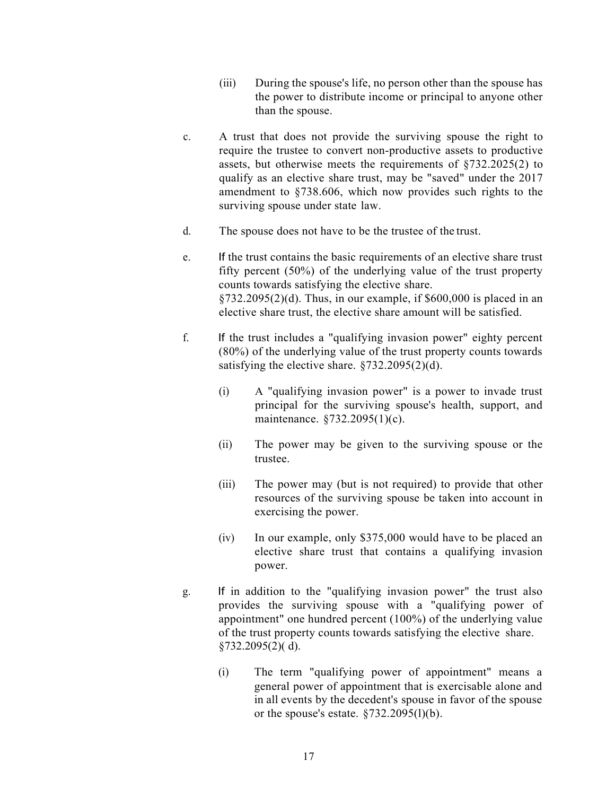- (iii) During the spouse's life, no person other than the spouse has the power to distribute income or principal to anyone other than the spouse.
- c. A trust that does not provide the surviving spouse the right to require the trustee to convert non-productive assets to productive assets, but otherwise meets the requirements of §732.2025(2) to qualify as an elective share trust, may be "saved" under the 2017 amendment to §738.606, which now provides such rights to the surviving spouse under state law.
- d. The spouse does not have to be the trustee of the trust.
- e. If the trust contains the basic requirements of an elective share trust fifty percent (50%) of the underlying value of the trust property counts towards satisfying the elective share.  $\S$ 732.2095(2)(d). Thus, in our example, if \$600,000 is placed in an elective share trust, the elective share amount will be satisfied.
- f. If the trust includes a "qualifying invasion power" eighty percent (80%) of the underlying value of the trust property counts towards satisfying the elective share. §732.2095(2)(d).
	- (i) A "qualifying invasion power" is a power to invade trust principal for the surviving spouse's health, support, and maintenance. §732.2095(1)(c).
	- (ii) The power may be given to the surviving spouse or the trustee.
	- (iii) The power may (but is not required) to provide that other resources of the surviving spouse be taken into account in exercising the power.
	- (iv) In our example, only \$375,000 would have to be placed an elective share trust that contains a qualifying invasion power.
- g. If in addition to the "qualifying invasion power" the trust also provides the surviving spouse with a "qualifying power of appointment" one hundred percent (100%) of the underlying value of the trust property counts towards satisfying the elective share. §732.2095(2)( d).
	- (i) The term "qualifying power of appointment" means a general power of appointment that is exercisable alone and in all events by the decedent's spouse in favor of the spouse or the spouse's estate.  $\S 732.2095(l)(b)$ .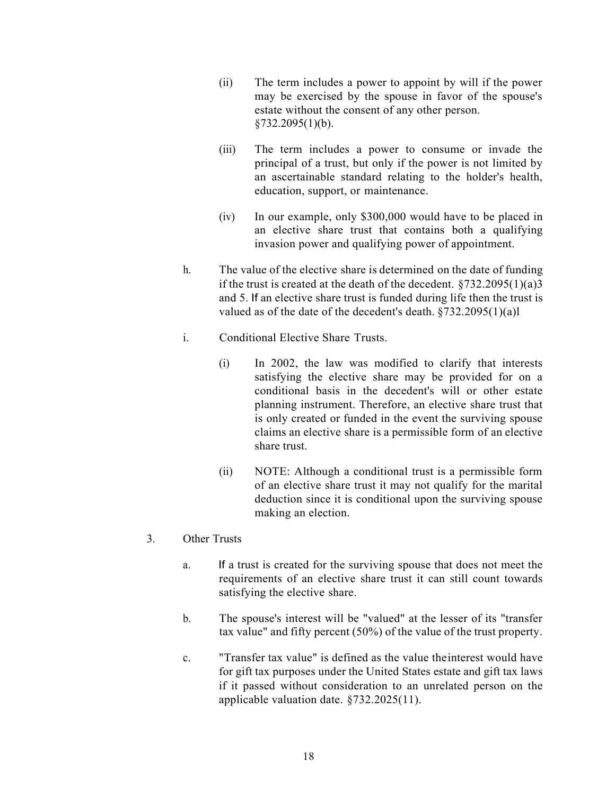- (ii) The term includes a power to appoint by will if the power may be exercised by the spouse in favor of the spouse's estate without the consent of any other person. §732.2095(1)(b).
- (iii) The term includes a power to consume or invade the principal of a trust, but only if the power is not limited by an ascertainable standard relating to the holder's health, education, support, or maintenance.
- (iv) In our example, only \$300,000 would have to be placed in an elective share trust that contains both a qualifying invasion power and qualifying power of appointment.
- h. The value of the elective share is determined on the date of funding if the trust is created at the death of the decedent.  $\S 732.2095(1)(a)3$ and 5. If an elective share trust is funded during life then the trust is valued as of the date of the decedent's death.  $\S 732.2095(1)(a)$ l
- i. Conditional Elective Share Trusts.
	- (i) In 2002, the law was modified to clarify that interests satisfying the elective share may be provided for on a conditional basis in the decedent's will or other estate planning instrument. Therefore, an elective share trust that is only created or funded in the event the surviving spouse claims an elective share is a permissible form of an elective share trust.
	- (ii) NOTE: Although a conditional trust is a permissible form of an elective share trust it may not qualify for the marital deduction since it is conditional upon the surviving spouse making an election.
- 3. Other Trusts
	- a. If a trust is created for the surviving spouse that does not meet the requirements of an elective share trust it can still count towards satisfying the elective share.
	- b. The spouse's interest will be "valued" at the lesser of its "transfer tax value" and fifty percent (50%) of the value of the trust property.
	- c. "Transfer tax value" is defined as the value theinterest would have for gift tax purposes under the United States estate and gift tax laws if it passed without consideration to an unrelated person on the applicable valuation date. §732.2025(11).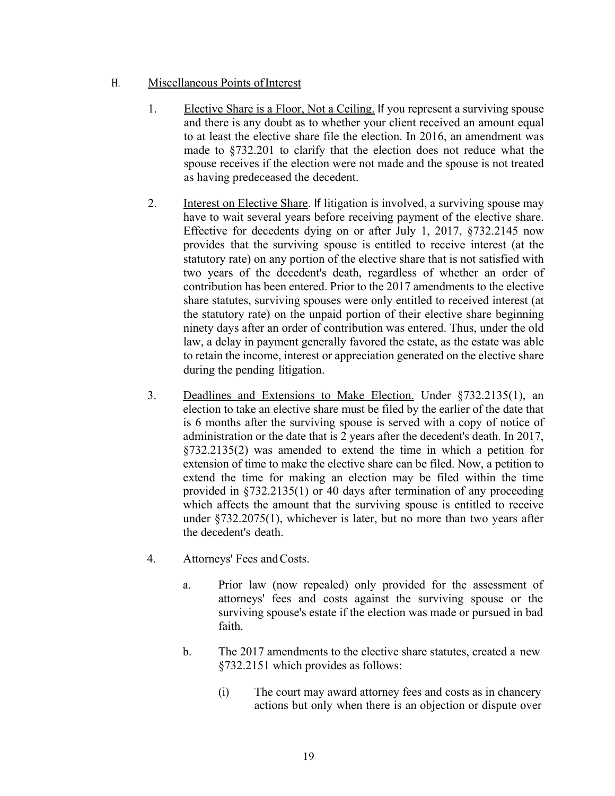### H. Miscellaneous Points of Interest

- 1. Elective Share is a Floor, Not a Ceiling. If you represent a surviving spouse and there is any doubt as to whether your client received an amount equal to at least the elective share file the election. In 2016, an amendment was made to §732.201 to clarify that the election does not reduce what the spouse receives if the election were not made and the spouse is not treated as having predeceased the decedent.
- 2. Interest on Elective Share. If litigation is involved, a surviving spouse may have to wait several years before receiving payment of the elective share. Effective for decedents dying on or after July 1, 2017, §732.2145 now provides that the surviving spouse is entitled to receive interest (at the statutory rate) on any portion of the elective share that is not satisfied with two years of the decedent's death, regardless of whether an order of contribution has been entered. Prior to the 2017 amendments to the elective share statutes, surviving spouses were only entitled to received interest (at the statutory rate) on the unpaid portion of their elective share beginning ninety days after an order of contribution was entered. Thus, under the old law, a delay in payment generally favored the estate, as the estate was able to retain the income, interest or appreciation generated on the elective share during the pending litigation.
- 3. Deadlines and Extensions to Make Election. Under §732.2135(1), an election to take an elective share must be filed by the earlier of the date that is 6 months after the surviving spouse is served with a copy of notice of administration or the date that is 2 years after the decedent's death. In 2017, §732.2135(2) was amended to extend the time in which a petition for extension of time to make the elective share can be filed. Now, a petition to extend the time for making an election may be filed within the time provided in §732.2135(1) or 40 days after termination of any proceeding which affects the amount that the surviving spouse is entitled to receive under §732.2075(1), whichever is later, but no more than two years after the decedent's death.
- 4. Attorneys' Fees andCosts.
	- a. Prior law (now repealed) only provided for the assessment of attorneys' fees and costs against the surviving spouse or the surviving spouse's estate if the election was made or pursued in bad faith.
	- b. The 2017 amendments to the elective share statutes, created a new §732.2151 which provides as follows:
		- (i) The court may award attorney fees and costs as in chancery actions but only when there is an objection or dispute over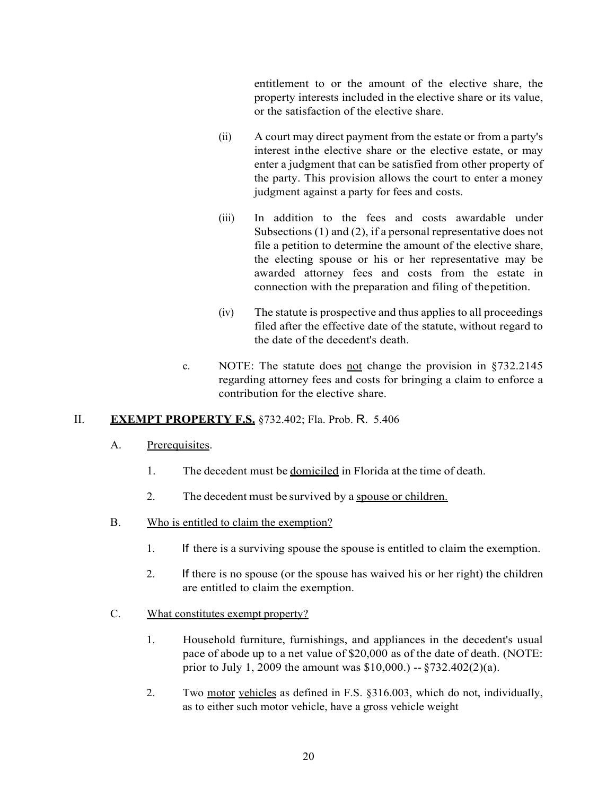entitlement to or the amount of the elective share, the property interests included in the elective share or its value, or the satisfaction of the elective share.

- (ii) A court may direct payment from the estate or from a party's interest inthe elective share or the elective estate, or may enter a judgment that can be satisfied from other property of the party. This provision allows the court to enter a money judgment against a party for fees and costs.
- (iii) In addition to the fees and costs awardable under Subsections (1) and (2), if a personal representative does not file a petition to determine the amount of the elective share, the electing spouse or his or her representative may be awarded attorney fees and costs from the estate in connection with the preparation and filing of thepetition.
- (iv) The statute is prospective and thus applies to all proceedings filed after the effective date of the statute, without regard to the date of the decedent's death.
- c. NOTE: The statute does not change the provision in  $\S 732.2145$ regarding attorney fees and costs for bringing a claim to enforce a contribution for the elective share.

### II. **EXEMPT PROPERTY F.S.** §732.402; Fla. Prob. R. 5.406

- A. Prerequisites.
	- 1. The decedent must be <u>domiciled</u> in Florida at the time of death.
	- 2. The decedent must be survived by a spouse or children.
- B. Who is entitled to claim the exemption?
	- 1. If there is a surviving spouse the spouse is entitled to claim the exemption.
	- 2. If there is no spouse (or the spouse has waived his or her right) the children are entitled to claim the exemption.
- C. What constitutes exempt property?
	- 1. Household furniture, furnishings, and appliances in the decedent's usual pace of abode up to a net value of \$20,000 as of the date of death. (NOTE: prior to July 1, 2009 the amount was \$10,000.) -- §732.402(2)(a).
	- 2. Two motor vehicles as defined in F.S. §316.003, which do not, individually, as to either such motor vehicle, have a gross vehicle weight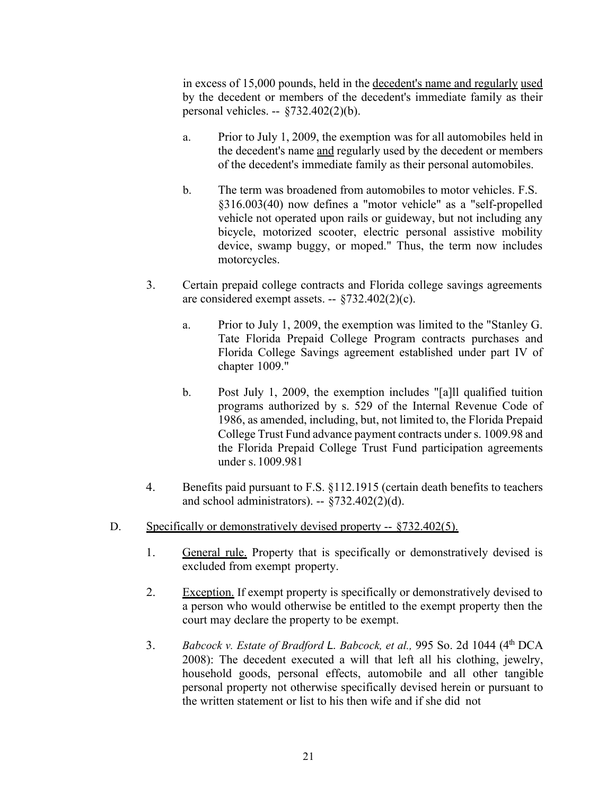in excess of 15,000 pounds, held in the decedent's name and regularly used by the decedent or members of the decedent's immediate family as their personal vehicles. -- §732.402(2)(b).

- a. Prior to July 1, 2009, the exemption was for all automobiles held in the decedent's name and regularly used by the decedent or members of the decedent's immediate family as their personal automobiles.
- b. The term was broadened from automobiles to motor vehicles. F.S. §316.003(40) now defines a "motor vehicle" as a "self-propelled vehicle not operated upon rails or guideway, but not including any bicycle, motorized scooter, electric personal assistive mobility device, swamp buggy, or moped." Thus, the term now includes motorcycles.
- 3. Certain prepaid college contracts and Florida college savings agreements are considered exempt assets. -- §732.402(2)(c).
	- a. Prior to July 1, 2009, the exemption was limited to the "Stanley G. Tate Florida Prepaid College Program contracts purchases and Florida College Savings agreement established under part IV of chapter 1009."
	- b. Post July 1, 2009, the exemption includes "[a]ll qualified tuition programs authorized by s. 529 of the Internal Revenue Code of 1986, as amended, including, but, not limited to, the Florida Prepaid College Trust Fund advance payment contracts under s. 1009.98 and the Florida Prepaid College Trust Fund participation agreements under s. 1009.981
- 4. Benefits paid pursuant to F.S. §112.1915 (certain death benefits to teachers and school administrators).  $\S732.402(2)(d)$ .
- D. Specifically or demonstratively devised property --  $\frac{5732.402(5)}{200}$ .
	- 1. General rule. Property that is specifically or demonstratively devised is excluded from exempt property.
	- 2. Exception. If exempt property is specifically or demonstratively devised to a person who would otherwise be entitled to the exempt property then the court may declare the property to be exempt.
	- 3. *Babcock v. Estate of Bradford L. Babcock, et al.,* 995 So. 2d 1044 (4th DCA 2008): The decedent executed a will that left all his clothing, jewelry, household goods, personal effects, automobile and all other tangible personal property not otherwise specifically devised herein or pursuant to the written statement or list to his then wife and if she did not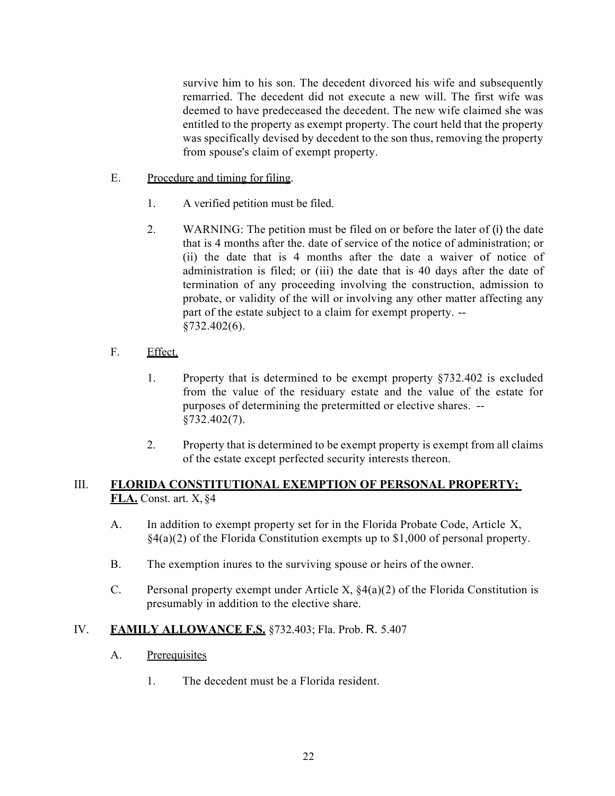survive him to his son. The decedent divorced his wife and subsequently remarried. The decedent did not execute a new will. The first wife was deemed to have predeceased the decedent. The new wife claimed she was entitled to the property as exempt property. The court held that the property was specifically devised by decedent to the son thus, removing the property from spouse's claim of exempt property.

- E. Procedure and timing for filing.
	- 1. A verified petition must be filed.
	- 2. WARNING: The petition must be filed on or before the later of (i) the date that is 4 months after the. date of service of the notice of administration; or (ii) the date that is 4 months after the date a waiver of notice of administration is filed; or (iii) the date that is 40 days after the date of termination of any proceeding involving the construction, admission to probate, or validity of the will or involving any other matter affecting any part of the estate subject to a claim for exempt property. -- §732.402(6).
- F. Effect.
	- 1. Property that is determined to be exempt property §732.402 is excluded from the value of the residuary estate and the value of the estate for purposes of determining the pretermitted or elective shares. -- §732.402(7).
	- 2. Property that is determined to be exempt property is exempt from all claims of the estate except perfected security interests thereon.

### III. **FLORIDA CONSTITUTIONAL EXEMPTION OF PERSONAL PROPERTY; FLA.** Const. art. X, §4

- A. In addition to exempt property set for in the Florida Probate Code, Article X,  $\frac{1}{2}(4(a)(2))$  of the Florida Constitution exempts up to \$1,000 of personal property.
- B. The exemption inures to the surviving spouse or heirs of the owner.
- C. Personal property exempt under Article X,  $\S4(a)(2)$  of the Florida Constitution is presumably in addition to the elective share.

### IV. **FAMILY ALLOWANCE F.S.** §732.403; Fla. Prob. R. 5.407

- A. Prerequisites
	- 1. The decedent must be a Florida resident.